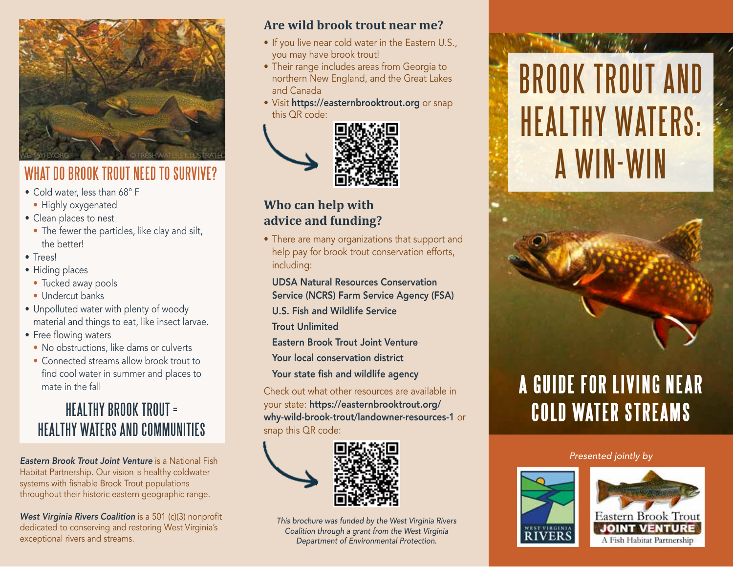

## WHAT DO BROOK TROUT NEED TO SURVIVE?

- Cold water, less than 68° F
	- Highly oxygenated
- Clean places to nest
	- The fewer the particles, like clay and silt, the better!
- Trees!
- Hiding places
	- Tucked away pools
	- Undercut banks
- Unpolluted water with plenty of woody material and things to eat, like insect larvae.
- Free flowing waters
	- No obstructions, like dams or culverts
	- Connected streams allow brook trout to find cool water in summer and places to mate in the fall

# HEALTHY BROOK TROUT = HEALTHY WATERS AND COMMUNITIES

*Eastern Brook Trout Joint Venture* is a National Fish Habitat Partnership. Our vision is healthy coldwater systems with fishable Brook Trout populations throughout their historic eastern geographic range.

*West Virginia Rivers Coalition* is a 501 (c)(3) nonprofit dedicated to conserving and restoring West Virginia's exceptional rivers and streams.

#### **Are wild brook trout near me?**

- If you live near cold water in the Eastern U.S., you may have brook trout!
- Their range includes areas from Georgia to northern New England, and the Great Lakes and Canada
- Visit https://easternbrooktrout.org or snap this QR code:





#### **Who can help with advice and funding?**

• There are many organizations that support and help pay for brook trout conservation efforts, including:

UDSA Natural Resources Conservation Service (NCRS) Farm Service Agency (FSA)

U.S. Fish and Wildlife Service

Trout Unlimited

Eastern Brook Trout Joint Venture

Your local conservation district

Your state fish and wildlife agency

Check out what other resources are available in your state: https://easternbrooktrout.org/ why-wild-brook-trout/landowner-resources-1 or snap this QR code:



*This brochure was funded by the West Virginia Rivers Coalition through a grant from the West Virginia Department of Environmental Protection.*

# BROOK TROUT AND HEALTHY WATERS: A WIN-WIN



# **A GUIDE FOR LIVING NEAR COLD WATER STREAMS**

*Presented jointly by*